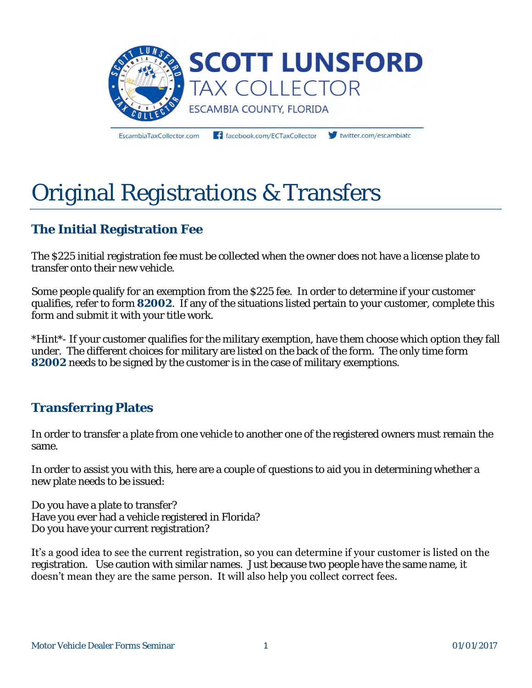

EscambiaTaxCollector.com

facebook.com/ECTaxCollector

twitter.com/escambiato

# Original Registrations & Transfers

# **The Initial Registration Fee**

The \$225 initial registration fee must be collected when the owner does not have a license plate to transfer onto their new vehicle.

Some people qualify for an exemption from the \$225 fee. In order to determine if your customer qualifies, refer to form **82002**. If any of the situations listed pertain to your customer, complete this form and submit it with your title work.

*\*Hint\**- If your customer qualifies for the military exemption, have them choose which option they fall under. The different choices for military are listed on the back of the form. The only time form **82002** needs to be signed by the customer is in the case of military exemptions.

# **Transferring Plates**

In order to transfer a plate from one vehicle to another one of the registered owners must remain the same.

In order to assist you with this, here are a couple of questions to aid you in determining whether a new plate needs to be issued:

Do you have a plate to transfer? Have you ever had a vehicle registered in Florida? Do you have your current registration?

It's a good idea to see the current registration, so you can determine if your customer is listed on the registration. Use caution with similar names. Just because two people have the same name, it doesn't mean they are the same person. It will also help you collect correct fees.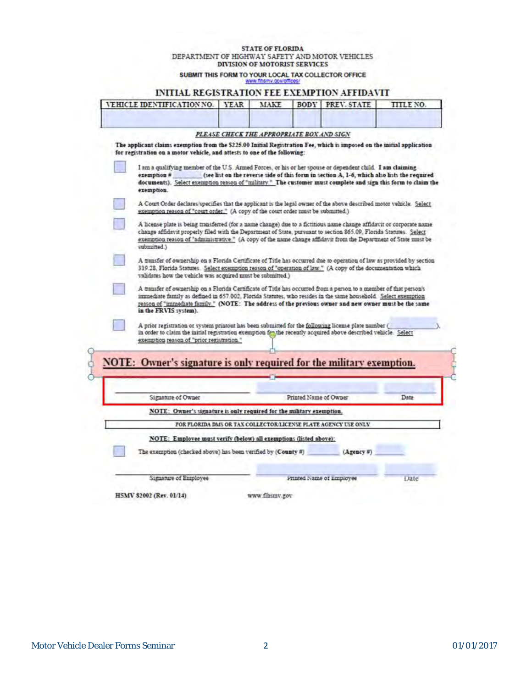## **STATE OF FLORIDA** DEPARTMENT OF HIGHWAY SAFETY AND MOTOR VEHICLES DIVISION OF MOTORIST SERVICES

SUBMIT THIS FORM TO YOUR LOCAL TAX COLLECTOR OFFICE

## INITIAL REGISTRATION FEE EXEMPTION AFFIDAVIT

| VEHICLE IDENTIFICATION NO.                                                                                                                                                                                                                                                                                                                                                   | <b>YEAR</b> | MAKE                                      | <b>BODY</b>           | PREV. STATE                                                                                 | <b>TITLE NO</b> |
|------------------------------------------------------------------------------------------------------------------------------------------------------------------------------------------------------------------------------------------------------------------------------------------------------------------------------------------------------------------------------|-------------|-------------------------------------------|-----------------------|---------------------------------------------------------------------------------------------|-----------------|
|                                                                                                                                                                                                                                                                                                                                                                              |             |                                           |                       |                                                                                             |                 |
|                                                                                                                                                                                                                                                                                                                                                                              |             | PLEASE CHECK THE APPROPRIATE BOX AND SIGN |                       |                                                                                             |                 |
| The applicant claims exemption from the \$225.00 Initial Registration Fee, which is imposed on the initial application<br>for registration on a motor vehicle, and attests to one of the following:                                                                                                                                                                          |             |                                           |                       |                                                                                             |                 |
| I am a qualifying member of the U.S. Armed Forces, or his or her spouse or dependent child. I am claiming                                                                                                                                                                                                                                                                    |             |                                           |                       |                                                                                             |                 |
| exemption #<br>documents). Select exemption reason of "military." The customer must complete and sign this form to claim the<br>exemption.                                                                                                                                                                                                                                   |             |                                           |                       | (see list on the reverse side of this form in section A, 1-6, which also lists the required |                 |
| A Court Order declares/specifies that the applicant is the legal owner of the above described motor vehicle. Select<br>exemption reason of "court order." (A copy of the court order must be submitted.)                                                                                                                                                                     |             |                                           |                       |                                                                                             |                 |
| A license plate is being transferred (for a name change) due to a fictitious name change affidavit or corporate name<br>change affidavit properly filed with the Department of State, pursuant to section 865.09, Florida Statutes. Select<br>exemption reason of "administrative." (A copy of the name change affidavit from the Department of State must be<br>submitted.) |             |                                           |                       |                                                                                             |                 |
| A transfer of ownership on a Florida Certificate of Title has occurred due to operation of law as provided by section<br>319.28, Florida Statutes. Select exemption reason of "operation of law." (A copy of the documentation which<br>validates how the vehicle was acquired must be submitted.)                                                                           |             |                                           |                       |                                                                                             |                 |
|                                                                                                                                                                                                                                                                                                                                                                              |             |                                           |                       |                                                                                             |                 |
| A transfer of ownership on a Florida Certificate of Title has occurred from a person to a member of that person's<br>immediate family as defined in 657.002. Florida Statutes, who resides in the same household. Select exemption<br>reason of "immediate family." (NOTE: The address of the previous owner and new owner must be the same<br>in the FRVIS system).         |             |                                           |                       |                                                                                             |                 |
| A prior registration or system printout has been submitted for the following license plate number (<br>in order to claim the initial registration exemption fro the recently acquired above described vehicle. Select<br>exemption reason of "prior registration."                                                                                                           |             |                                           |                       |                                                                                             |                 |
|                                                                                                                                                                                                                                                                                                                                                                              |             |                                           |                       |                                                                                             |                 |
|                                                                                                                                                                                                                                                                                                                                                                              |             |                                           |                       |                                                                                             |                 |
| Signature of Owner                                                                                                                                                                                                                                                                                                                                                           |             |                                           | Printed Name of Owner |                                                                                             | Date            |
| NOTE: Owner's signature is only required for the military exemption.                                                                                                                                                                                                                                                                                                         |             |                                           |                       |                                                                                             |                 |
|                                                                                                                                                                                                                                                                                                                                                                              |             |                                           |                       | FOR FLORIDA DMS OR TAX COLLECTOR/LICENSE PLATE AGENCY USE ONLY                              |                 |
| NOTE: Owner's signature is only required for the military exemption.<br>NOTE: Employee must verify (below) all exemptions (listed above):                                                                                                                                                                                                                                    |             |                                           |                       |                                                                                             |                 |
| The exemption (checked above) has been verified by (County #)                                                                                                                                                                                                                                                                                                                |             |                                           |                       | $(Agency$ #)                                                                                |                 |
| Signature of Employee                                                                                                                                                                                                                                                                                                                                                        |             |                                           |                       | Frinted Name of Employee                                                                    | Date            |